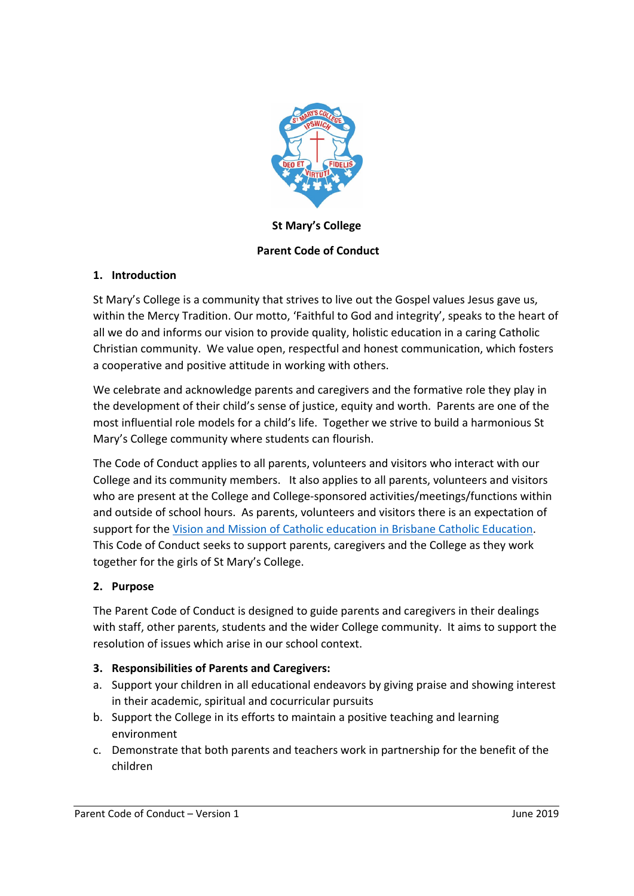

# **St Mary's College**

## **Parent Code of Conduct**

### **1. Introduction**

St Mary's College is a community that strives to live out the Gospel values Jesus gave us, within the Mercy Tradition. Our motto, 'Faithful to God and integrity', speaks to the heart of all we do and informs our vision to provide quality, holistic education in a caring Catholic Christian community. We value open, respectful and honest communication, which fosters a cooperative and positive attitude in working with others.

We celebrate and acknowledge parents and caregivers and the formative role they play in the development of their child's sense of justice, equity and worth. Parents are one of the most influential role models for a child's life. Together we strive to build a harmonious St Mary's College community where students can flourish.

The Code of Conduct applies to all parents, volunteers and visitors who interact with our College and its community members. It also applies to all parents, volunteers and visitors who are present at the College and College‐sponsored activities/meetings/functions within and outside of school hours. As parents, volunteers and visitors there is an expectation of support for the Vision and Mission of Catholic education in Brisbane Catholic Education. This Code of Conduct seeks to support parents, caregivers and the College as they work together for the girls of St Mary's College.

## **2. Purpose**

The Parent Code of Conduct is designed to guide parents and caregivers in their dealings with staff, other parents, students and the wider College community. It aims to support the resolution of issues which arise in our school context.

### **3. Responsibilities of Parents and Caregivers:**

- a. Support your children in all educational endeavors by giving praise and showing interest in their academic, spiritual and cocurricular pursuits
- b. Support the College in its efforts to maintain a positive teaching and learning environment
- c. Demonstrate that both parents and teachers work in partnership for the benefit of the children